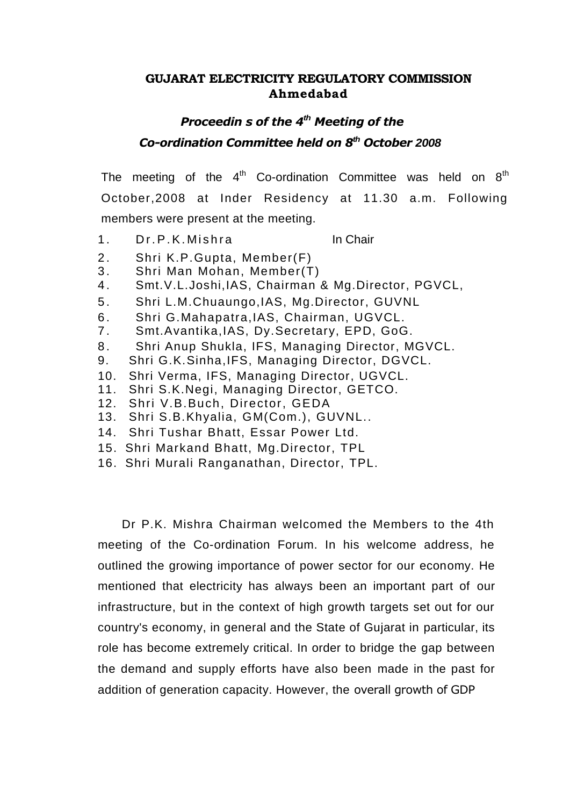# **GUJARAT ELECTRICITY REGULATORY COMMISSION Ahmedabad**

# *Proceedin s of the 4th Meeting of the Co-ordination Committee held on 8th October 2008*

The meeting of the  $4<sup>th</sup>$  Co-ordination Committee was held on  $8<sup>th</sup>$ October,2008 at Inder Residency at 11.30 a.m. Following members were present at the meeting.

1 Dr P K Mishra **In Chair** 

- 2. Shri K.P. Gupta, Member(F)
- 3. Shri Man Mohan, Member(T)
- 4 . Smt.V.L.Joshi,IAS, Chairman & Mg.Director, PGVCL,
- 5 . Shri L.M.Chuaungo,IAS, Mg.Director, GUVNL
- 6 . Shri G.Mahapatra,IAS, Chairman, UGVCL.
- 7 . Smt.Avantika,IAS, Dy.Secretary, EPD, GoG.
- 8. Shri Anup Shukla, IFS, Managing Director, MGVCL.
- 9. Shri G.K.Sinha,IFS, Managing Director, DGVCL.
- 10. Shri Verma, IFS, Managing Director, UGVCL.
- 11. Shri S.K.Negi, Managing Director, GETCO.
- 12. Shri V.B.Buch, Director, GEDA
- 13. Shri S.B.Khyalia, GM(Com.), GUVNL..
- 14. Shri Tushar Bhatt, Essar Power Ltd.
- 15. Shri Markand Bhatt, Mg.Director, TPL
- 16. Shri Murali Ranganathan, Director, TPL.

Dr P.K. Mishra Chairman welcomed the Members to the 4th meeting of the Co-ordination Forum. In his welcome address, he outlined the growing importance of power sector for our economy. He mentioned that electricity has always been an important part of our infrastructure, but in the context of high growth targets set out for our country's economy, in general and the State of Gujarat in particular, its role has become extremely critical. In order to bridge the gap between the demand and supply efforts have also been made in the past for addition of generation capacity. However, the overall growth of GDP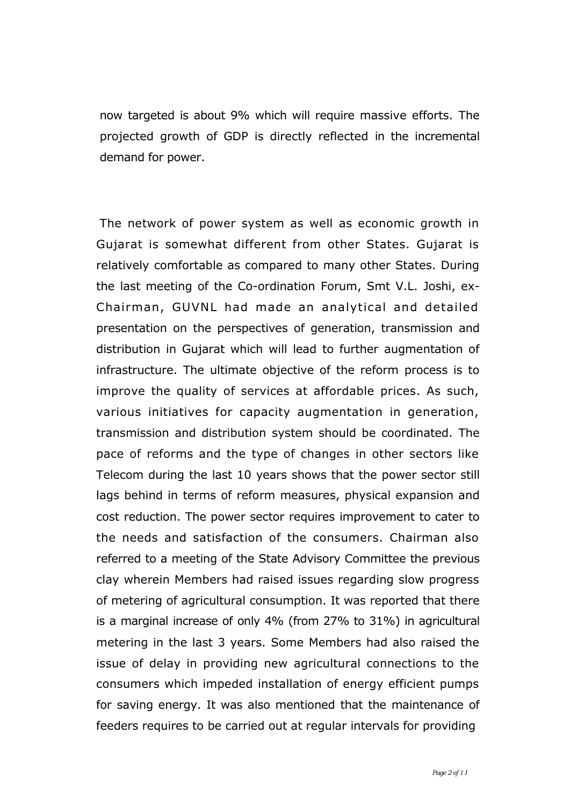now targeted is about 9% which will require massive efforts. The projected growth of GDP is directly reflected in the incremental demand for power.

The network of power system as well as economic growth in Gujarat is somewhat different from other States. Gujarat is relatively comfortable as compared to many other States. During the last meeting of the Co-ordination Forum, Smt V.L. Joshi, ex-Chairman, GUVNL had made an analytical and detailed presentation on the perspectives of generation, transmission and distribution in Gujarat which will lead to further augmentation of infrastructure. The ultimate objective of the reform process is to improve the quality of services at affordable prices. As such, various initiatives for capacity augmentation in generation, transmission and distribution system should be coordinated. The pace of reforms and the type of changes in other sectors like Telecom during the last 10 years shows that the power sector still lags behind in terms of reform measures, physical expansion and cost reduction. The power sector requires improvement to cater to the needs and satisfaction of the consumers. Chairman also referred to a meeting of the State Advisory Committee the previous clay wherein Members had raised issues regarding slow progress of metering of agricultural consumption. It was reported that there is a marginal increase of only 4% (from 27% to 31%) in agricultural metering in the last 3 years. Some Members had also raised the issue of delay in providing new agricultural connections to the consumers which impeded installation of energy efficient pumps for saving energy. It was also mentioned that the maintenance of feeders requires to be carried out at regular intervals for providing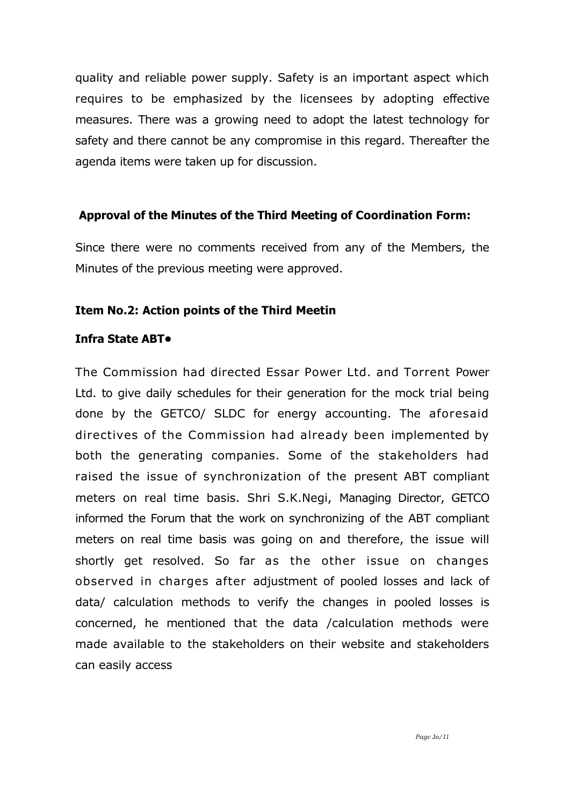quality and reliable power supply. Safety is an important aspect which requires to be emphasized by the licensees by adopting effective measures. There was a growing need to adopt the latest technology for safety and there cannot be any compromise in this regard. Thereafter the agenda items were taken up for discussion.

# Approval of the Minutes of the Third Meeting of Coordination Form:

Since there were no comments received from any of the Members, the Minutes of the previous meeting were approved.

# **Item No.2: Action points of the Third Meetin**

# **Infra State ABT•**

The Commission had directed Essar Power Ltd. and Torrent Power Ltd. to give daily schedules for their generation for the mock trial being done by the GETCO/ SLDC for energy accounting. The aforesaid directives of the Commission had already been implemented by both the generating companies. Some of the stakeholders had raised the issue of synchronization of the present ABT compliant meters on real time basis. Shri S.K.Negi, Managing Director, GETCO informed the Forum that the work on synchronizing of the ABT compliant meters on real time basis was going on and therefore, the issue will shortly get resolved. So far as the other issue on changes observed in charges after adjustment of pooled losses and lack of data/ calculation methods to verify the changes in pooled losses is concerned, he mentioned that the data /calculation methods were made available to the stakeholders on their website and stakeholders can easily access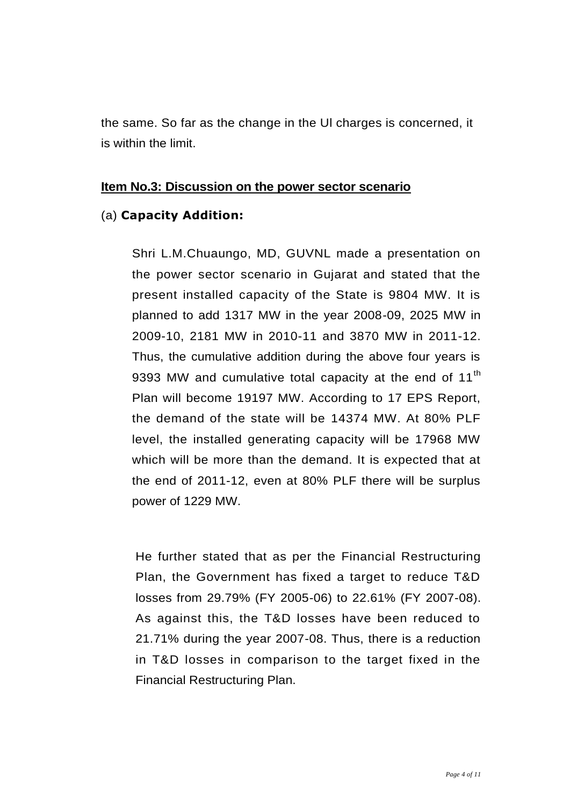the same. So far as the change in the Ul charges is concerned, it is within the limit.

### **Item No.3: Discussion on the power sector scenario**

# (a) **Capacity Addition:**

Shri L.M.Chuaungo, MD, GUVNL made a presentation on the power sector scenario in Gujarat and stated that the present installed capacity of the State is 9804 MW. It is planned to add 1317 MW in the year 2008-09, 2025 MW in 2009-10, 2181 MW in 2010-11 and 3870 MW in 2011-12. Thus, the cumulative addition during the above four years is 9393 MW and cumulative total capacity at the end of 11<sup>th</sup> Plan will become 19197 MW. According to 17 EPS Report, the demand of the state will be 14374 MW. At 80% PLF level, the installed generating capacity will be 17968 MW which will be more than the demand. It is expected that at the end of 2011-12, even at 80% PLF there will be surplus power of 1229 MW.

He further stated that as per the Financial Restructuring Plan, the Government has fixed a target to reduce T&D losses from 29.79% (FY 2005-06) to 22.61% (FY 2007-08). As against this, the T&D losses have been reduced to 21.71% during the year 2007-08. Thus, there is a reduction in T&D losses in comparison to the target fixed in the Financial Restructuring Plan.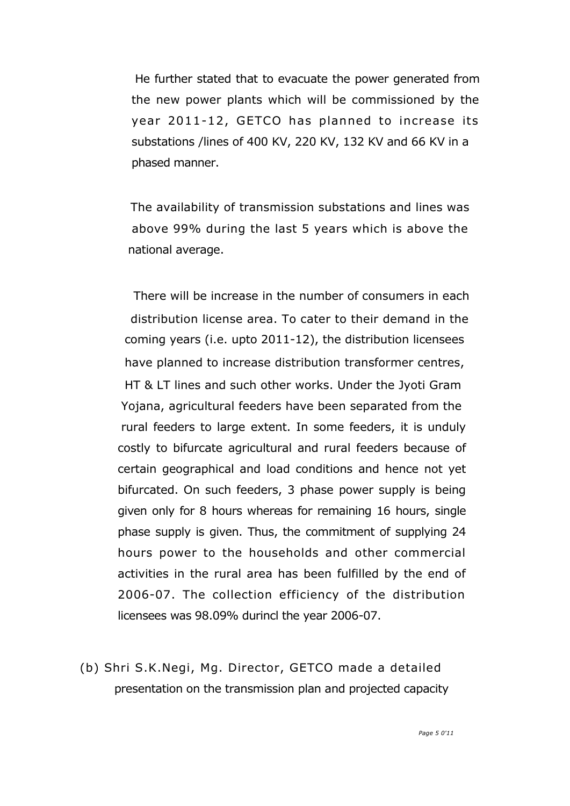He further stated that to evacuate the power generated from the new power plants which will be commissioned by the year 2011-12, GETCO has planned to increase its substations /lines of 400 KV, 220 KV, 132 KV and 66 KV in a phased manner.

The availability of transmission substations and lines was above 99% during the last 5 years which is above the national average.

There will be increase in the number of consumers in each distribution license area. To cater to their demand in the coming years (i.e. upto 2011-12), the distribution licensees have planned to increase distribution transformer centres, HT & LT lines and such other works. Under the Jyoti Gram Yojana, agricultural feeders have been separated from the rural feeders to large extent. In some feeders, it is unduly costly to bifurcate agricultural and rural feeders because of certain geographical and load conditions and hence not yet bifurcated. On such feeders, 3 phase power supply is being given only for 8 hours whereas for remaining 16 hours, single phase supply is given. Thus, the commitment of supplying 24 hours power to the households and other commercial activities in the rural area has been fulfilled by the end of 2006-07. The collection efficiency of the distribution licensees was 98.09% durincl the year 2006-07.

(b) Shri S.K.Negi, Mg. Director, GETCO made a detailed presentation on the transmission plan and projected capacity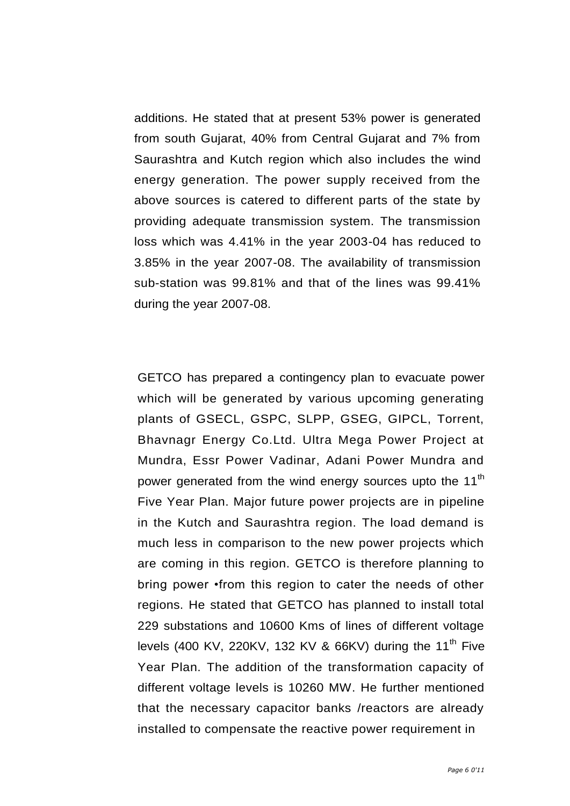additions. He stated that at present 53% power is generated from south Gujarat, 40% from Central Gujarat and 7% from Saurashtra and Kutch region which also includes the wind energy generation. The power supply received from the above sources is catered to different parts of the state by providing adequate transmission system. The transmission loss which was 4.41% in the year 2003-04 has reduced to 3.85% in the year 2007-08. The availability of transmission sub-station was 99.81% and that of the lines was 99.41% during the year 2007-08.

GETCO has prepared a contingency plan to evacuate power which will be generated by various upcoming generating plants of GSECL, GSPC, SLPP, GSEG, GIPCL, Torrent, Bhavnagr Energy Co.Ltd. Ultra Mega Power Project at Mundra, Essr Power Vadinar, Adani Power Mundra and power generated from the wind energy sources upto the 11<sup>th</sup> Five Year Plan. Major future power projects are in pipeline in the Kutch and Saurashtra region. The load demand is much less in comparison to the new power projects which are coming in this region. GETCO is therefore planning to bring power •from this region to cater the needs of other regions. He stated that GETCO has planned to install total 229 substations and 10600 Kms of lines of different voltage levels (400 KV, 220KV, 132 KV & 66KV) during the 11<sup>th</sup> Five Year Plan. The addition of the transformation capacity of different voltage levels is 10260 MW. He further mentioned that the necessary capacitor banks /reactors are already installed to compensate the reactive power requirement in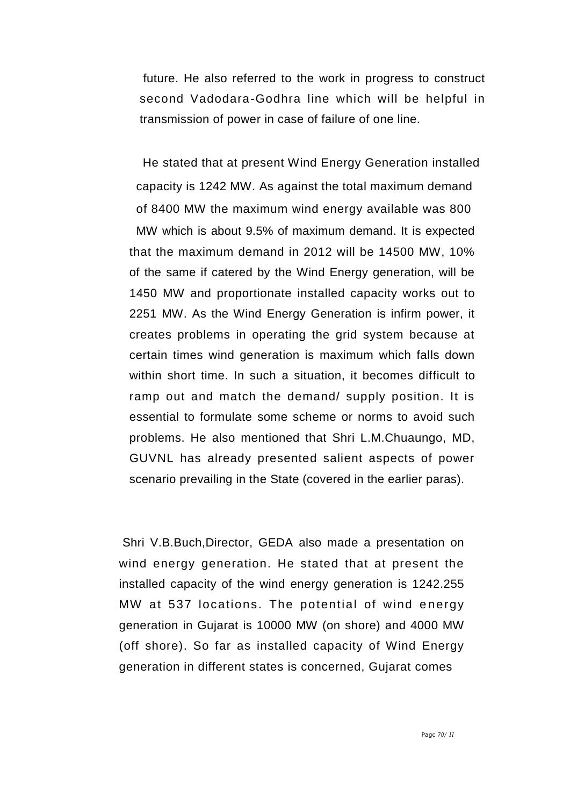future. He also referred to the work in progress to construct second Vadodara-Godhra line which will be helpful in transmission of power in case of failure of one line.

He stated that at present Wind Energy Generation installed capacity is 1242 MW. As against the total maximum demand of 8400 MW the maximum wind energy available was 800 MW which is about 9.5% of maximum demand. It is expected that the maximum demand in 2012 will be 14500 MW, 10% of the same if catered by the Wind Energy generation, will be 1450 MW and proportionate installed capacity works out to 2251 MW. As the Wind Energy Generation is infirm power, it creates problems in operating the grid system because at certain times wind generation is maximum which falls down within short time. In such a situation, it becomes difficult to ramp out and match the demand/ supply position. It is essential to formulate some scheme or norms to avoid such problems. He also mentioned that Shri L.M.Chuaungo, MD, GUVNL has already presented salient aspects of power scenario prevailing in the State (covered in the earlier paras).

Shri V.B.Buch,Director, GEDA also made a presentation on wind energy generation. He stated that at present the installed capacity of the wind energy generation is 1242.255 MW at 537 locations. The potential of wind energy generation in Gujarat is 10000 MW (on shore) and 4000 MW (off shore). So far as installed capacity of Wind Energy generation in different states is concerned, Gujarat comes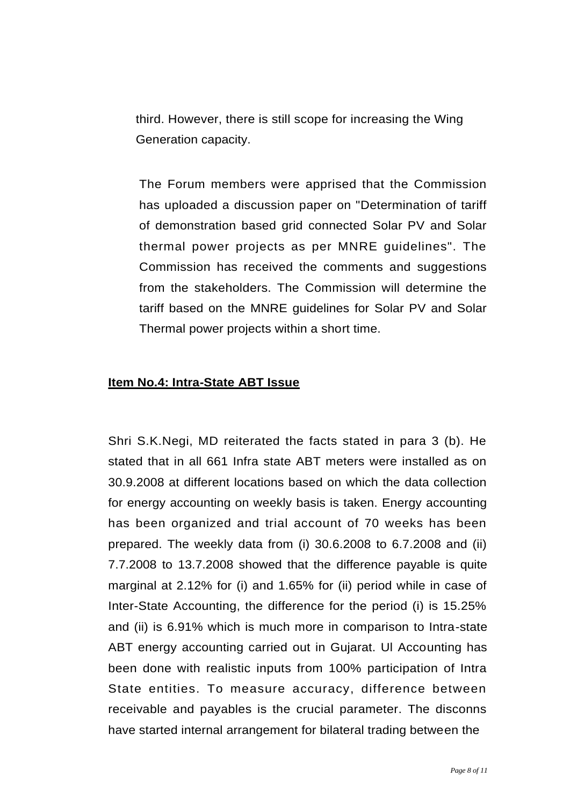third. However, there is still scope for increasing the Wing Generation capacity.

The Forum members were apprised that the Commission has uploaded a discussion paper on "Determination of tariff of demonstration based grid connected Solar PV and Solar thermal power projects as per MNRE guidelines". The Commission has received the comments and suggestions from the stakeholders. The Commission will determine the tariff based on the MNRE guidelines for Solar PV and Solar Thermal power projects within a short time.

#### **Item No.4: Intra-State ABT Issue**

Shri S.K.Negi, MD reiterated the facts stated in para 3 (b). He stated that in all 661 Infra state ABT meters were installed as on 30.9.2008 at different locations based on which the data collection for energy accounting on weekly basis is taken. Energy accounting has been organized and trial account of 70 weeks has been prepared. The weekly data from (i) 30.6.2008 to 6.7.2008 and (ii) 7.7.2008 to 13.7.2008 showed that the difference payable is quite marginal at 2.12% for (i) and 1.65% for (ii) period while in case of Inter-State Accounting, the difference for the period (i) is 15.25% and (ii) is 6.91% which is much more in comparison to Intra-state ABT energy accounting carried out in Gujarat. Ul Accounting has been done with realistic inputs from 100% participation of Intra State entities. To measure accuracy, difference between receivable and payables is the crucial parameter. The disconns have started internal arrangement for bilateral trading between the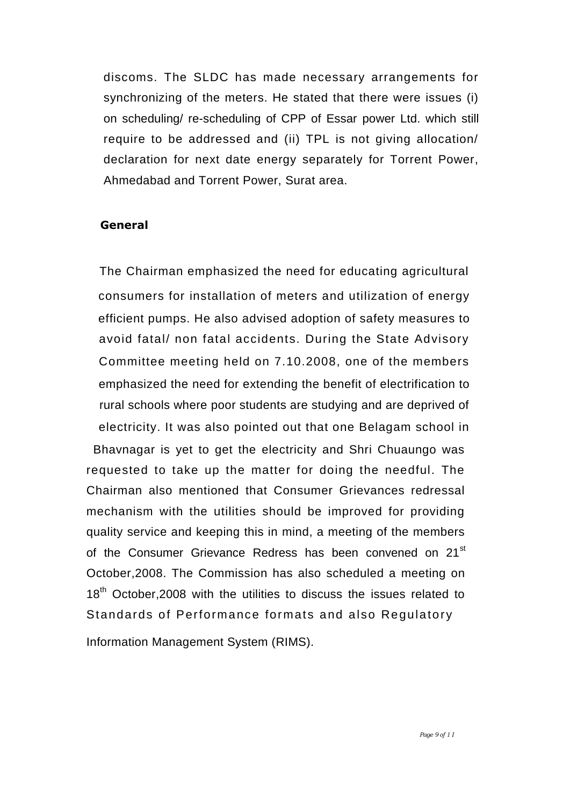discoms. The SLDC has made necessary arrangements for synchronizing of the meters. He stated that there were issues (i) on scheduling/ re-scheduling of CPP of Essar power Ltd. which still require to be addressed and (ii) TPL is not giving allocation/ declaration for next date energy separately for Torrent Power, Ahmedabad and Torrent Power, Surat area.

#### **General**

The Chairman emphasized the need for educating agricultural consumers for installation of meters and utilization of energy efficient pumps. He also advised adoption of safety measures to avoid fatal/ non fatal accidents. During the State Advisory Committee meeting held on 7.10.2008, one of the members emphasized the need for extending the benefit of electrification to rural schools where poor students are studying and are deprived of electricity. It was also pointed out that one Belagam school in Bhavnagar is yet to get the electricity and Shri Chuaungo was requested to take up the matter for doing the needful. The Chairman also mentioned that Consumer Grievances redressal mechanism with the utilities should be improved for providing quality service and keeping this in mind, a meeting of the members of the Consumer Grievance Redress has been convened on 21<sup>st</sup> October,2008. The Commission has also scheduled a meeting on 18<sup>th</sup> October, 2008 with the utilities to discuss the issues related to Standards of Performance formats and also Regulatory

Information Management System (RIMS).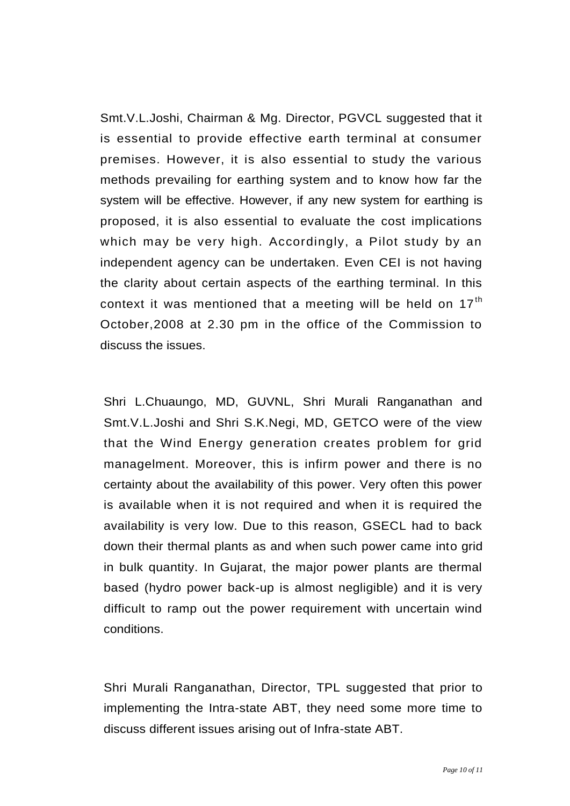Smt.V.L.Joshi, Chairman & Mg. Director, PGVCL suggested that it is essential to provide effective earth terminal at consumer premises. However, it is also essential to study the various methods prevailing for earthing system and to know how far the system will be effective. However, if any new system for earthing is proposed, it is also essential to evaluate the cost implications which may be very high. Accordingly, a Pilot study by an independent agency can be undertaken. Even CEI is not having the clarity about certain aspects of the earthing terminal. In this context it was mentioned that a meeting will be held on  $17<sup>th</sup>$ October,2008 at 2.30 pm in the office of the Commission to discuss the issues.

Shri L.Chuaungo, MD, GUVNL, Shri Murali Ranganathan and Smt.V.L.Joshi and Shri S.K.Negi, MD, GETCO were of the view that the Wind Energy generation creates problem for grid managelment. Moreover, this is infirm power and there is no certainty about the availability of this power. Very often this power is available when it is not required and when it is required the availability is very low. Due to this reason, GSECL had to back down their thermal plants as and when such power came into grid in bulk quantity. In Gujarat, the major power plants are thermal based (hydro power back-up is almost negligible) and it is very difficult to ramp out the power requirement with uncertain wind conditions.

Shri Murali Ranganathan, Director, TPL suggested that prior to implementing the Intra-state ABT, they need some more time to discuss different issues arising out of Infra-state ABT.